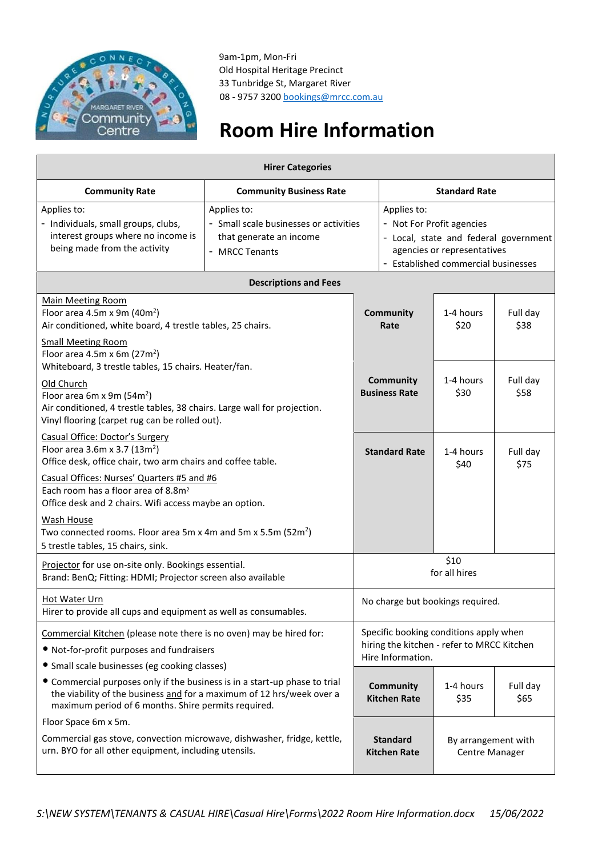

9am-1pm, Mon-Fri Old Hospital Heritage Precinct 33 Tunbridge St, Margaret River 08 - 9757 3200 [bookings@mrcc.com.au](mailto:bookings@mrcc.com.au)

## **Room Hire Information**

| <b>Hirer Categories</b>                                                                                                                                                                                    |                                                                                                    |                                                                                                           |                                                                                                                                                         |                   |                  |
|------------------------------------------------------------------------------------------------------------------------------------------------------------------------------------------------------------|----------------------------------------------------------------------------------------------------|-----------------------------------------------------------------------------------------------------------|---------------------------------------------------------------------------------------------------------------------------------------------------------|-------------------|------------------|
| <b>Community Rate</b>                                                                                                                                                                                      | <b>Community Business Rate</b>                                                                     |                                                                                                           | <b>Standard Rate</b>                                                                                                                                    |                   |                  |
| Applies to:<br>- Individuals, small groups, clubs,<br>interest groups where no income is<br>being made from the activity                                                                                   | Applies to:<br>- Small scale businesses or activities<br>that generate an income<br>- MRCC Tenants |                                                                                                           | Applies to:<br>- Not For Profit agencies<br>- Local, state and federal government<br>agencies or representatives<br>- Established commercial businesses |                   |                  |
| <b>Descriptions and Fees</b>                                                                                                                                                                               |                                                                                                    |                                                                                                           |                                                                                                                                                         |                   |                  |
| <b>Main Meeting Room</b><br>Floor area 4.5m x 9m (40m <sup>2</sup> )<br>Air conditioned, white board, 4 trestle tables, 25 chairs.                                                                         |                                                                                                    |                                                                                                           | <b>Community</b><br>1-4 hours<br>Full day<br>\$38<br>\$20<br>Rate                                                                                       |                   |                  |
| <b>Small Meeting Room</b><br>Floor area 4.5m x 6m $(27m^2)$<br>Whiteboard, 3 trestle tables, 15 chairs. Heater/fan.                                                                                        |                                                                                                    |                                                                                                           |                                                                                                                                                         |                   |                  |
| Old Church<br>Floor area 6m x 9m (54m <sup>2</sup> )<br>Air conditioned, 4 trestle tables, 38 chairs. Large wall for projection.<br>Vinyl flooring (carpet rug can be rolled out).                         |                                                                                                    | Community<br><b>Business Rate</b>                                                                         |                                                                                                                                                         | 1-4 hours<br>\$30 | Full day<br>\$58 |
| Casual Office: Doctor's Surgery<br>Floor area 3.6m x 3.7 ( $13m^2$ )<br>Office desk, office chair, two arm chairs and coffee table.                                                                        |                                                                                                    |                                                                                                           | <b>Standard Rate</b>                                                                                                                                    | 1-4 hours<br>\$40 | Full day<br>\$75 |
| Casual Offices: Nurses' Quarters #5 and #6<br>Each room has a floor area of 8.8m <sup>2</sup><br>Office desk and 2 chairs. Wifi access maybe an option.                                                    |                                                                                                    |                                                                                                           |                                                                                                                                                         |                   |                  |
| <b>Wash House</b><br>Two connected rooms. Floor area 5m x 4m and 5m x 5.5m (52m <sup>2</sup> )<br>5 trestle tables, 15 chairs, sink.                                                                       |                                                                                                    |                                                                                                           |                                                                                                                                                         |                   |                  |
| Projector for use on-site only. Bookings essential.<br>Brand: BenQ; Fitting: HDMI; Projector screen also available                                                                                         |                                                                                                    | \$10<br>for all hires                                                                                     |                                                                                                                                                         |                   |                  |
| Hot Water Urn<br>Hirer to provide all cups and equipment as well as consumables.                                                                                                                           |                                                                                                    | No charge but bookings required.                                                                          |                                                                                                                                                         |                   |                  |
| Commercial Kitchen (please note there is no oven) may be hired for:<br>• Not-for-profit purposes and fundraisers<br>• Small scale businesses (eg cooking classes)                                          |                                                                                                    | Specific booking conditions apply when<br>hiring the kitchen - refer to MRCC Kitchen<br>Hire Information. |                                                                                                                                                         |                   |                  |
| • Commercial purposes only if the business is in a start-up phase to trial<br>the viability of the business and for a maximum of 12 hrs/week over a<br>maximum period of 6 months. Shire permits required. |                                                                                                    |                                                                                                           | <b>Community</b><br><b>Kitchen Rate</b>                                                                                                                 | 1-4 hours<br>\$35 | Full day<br>\$65 |
| Floor Space 6m x 5m.                                                                                                                                                                                       |                                                                                                    |                                                                                                           |                                                                                                                                                         |                   |                  |
| Commercial gas stove, convection microwave, dishwasher, fridge, kettle,<br>urn. BYO for all other equipment, including utensils.                                                                           |                                                                                                    |                                                                                                           | <b>Standard</b><br>By arrangement with<br><b>Kitchen Rate</b><br>Centre Manager                                                                         |                   |                  |